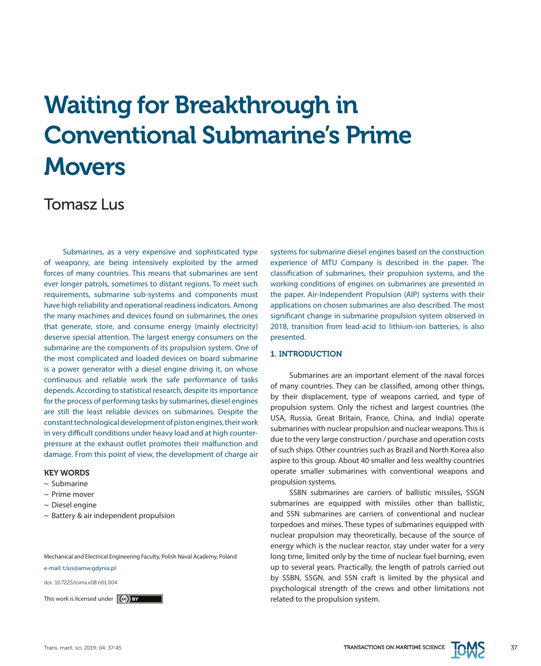# Waiting for Breakthrough in Conventional Submarine's Prime **Movers**

# Tomasz Lus

Submarines, as a very expensive and sophisticated type of weaponry, are being intensively exploited by the armed forces of many countries. This means that submarines are sent ever longer patrols, sometimes to distant regions. To meet such requirements, submarine sub-systems and components must have high reliability and operational readiness indicators. Among the many machines and devices found on submarines, the ones that generate, store, and consume energy (mainly electricity) deserve special attention. The largest energy consumers on the submarine are the components of its propulsion system. One of the most complicated and loaded devices on board submarine is a power generator with a diesel engine driving it, on whose continuous and reliable work the safe performance of tasks depends. According to statistical research, despite its importance for the process of performing tasks by submarines, diesel engines are still the least reliable devices on submarines. Despite the constant technological development of piston engines, their work in very difficult conditions under heavy load and at high counterpressure at the exhaust outlet promotes their malfunction and damage. From this point of view, the development of charge air

# KEY WORDS

- $\sim$  Submarine
- ~ Prime mover
- ~ Diesel engine
- ~ Battery & air independent propulsion

Mechanical and Electrical Engineering Faculty, Polish Naval Academy, Poland e-mail: t.lus@amw.gdynia.pl

doi: 10.7225/toms.v08.n01.004

systems for submarine diesel engines based on the construction experience of MTU Company is described in the paper. The classification of submarines, their propulsion systems, and the working conditions of engines on submarines are presented in the paper. Air-Independent Propulsion (AIP) systems with their applications on chosen submarines are also described. The most significant change in submarine propulsion system observed in 2018, transition from lead-acid to lithium-ion batteries, is also presented.

# 1. INTRODUCTION

Submarines are an important element of the naval forces of many countries. They can be classified, among other things, by their displacement, type of weapons carried, and type of propulsion system. Only the richest and largest countries (the USA, Russia, Great Britain, France, China, and India) operate submarines with nuclear propulsion and nuclear weapons. This is due to the very large construction / purchase and operation costs of such ships. Other countries such as Brazil and North Korea also aspire to this group. About 40 smaller and less wealthy countries operate smaller submarines with conventional weapons and propulsion systems.

SSBN submarines are carriers of ballistic missiles, SSGN submarines are equipped with missiles other than ballistic, and SSN submarines are carriers of conventional and nuclear torpedoes and mines. These types of submarines equipped with nuclear propulsion may theoretically, because of the source of energy which is the nuclear reactor, stay under water for a very long time, limited only by the time of nuclear fuel burning, even up to several years. Practically, the length of patrols carried out by SSBN, SSGN, and SSN craft is limited by the physical and psychological strength of the crews and other limitations not This work is licensed under  $\left[\frac{cc}{c}\right]$  by  $\left[\frac{c}{c}\right]$  and  $\left[\frac{c}{c}\right]$  and  $\left[\frac{c}{c}\right]$  and  $\left[\frac{c}{c}\right]$  and  $\left[\frac{c}{c}\right]$  and  $\left[\frac{c}{c}\right]$  and  $\left[\frac{c}{c}\right]$  and  $\left[\frac{c}{c}\right]$  and  $\left[\frac{c}{c}\right]$  and  $\left[\frac{c}{c}\right]$ 

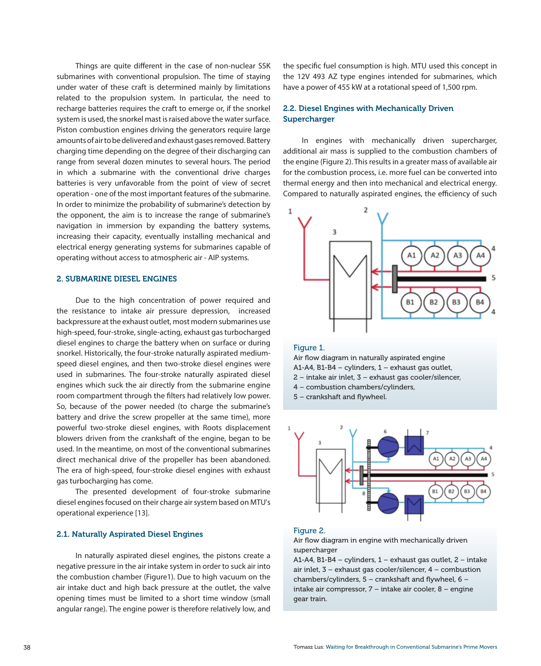Things are quite different in the case of non-nuclear SSK submarines with conventional propulsion. The time of staying under water of these craft is determined mainly by limitations related to the propulsion system. In particular, the need to recharge batteries requires the craft to emerge or, if the snorkel system is used, the snorkel mast is raised above the water surface. Piston combustion engines driving the generators require large amounts of air to be delivered and exhaust gases removed. Battery charging time depending on the degree of their discharging can range from several dozen minutes to several hours. The period in which a submarine with the conventional drive charges batteries is very unfavorable from the point of view of secret operation - one of the most important features of the submarine. In order to minimize the probability of submarine's detection by the opponent, the aim is to increase the range of submarine's navigation in immersion by expanding the battery systems, increasing their capacity, eventually installing mechanical and electrical energy generating systems for submarines capable of operating without access to atmospheric air - AIP systems.

# 2. SUBMARINE DIESEL ENGINES

Due to the high concentration of power required and the resistance to intake air pressure depression, increased backpressure at the exhaust outlet, most modern submarines use high-speed, four-stroke, single-acting, exhaust gas turbocharged diesel engines to charge the battery when on surface or during snorkel. Historically, the four-stroke naturally aspirated mediumspeed diesel engines, and then two-stroke diesel engines were used in submarines. The four-stroke naturally aspirated diesel engines which suck the air directly from the submarine engine room compartment through the filters had relatively low power. So, because of the power needed (to charge the submarine's battery and drive the screw propeller at the same time), more powerful two-stroke diesel engines, with Roots displacement blowers driven from the crankshaft of the engine, began to be used. In the meantime, on most of the conventional submarines direct mechanical drive of the propeller has been abandoned. The era of high-speed, four-stroke diesel engines with exhaust gas turbocharging has come.

The presented development of four-stroke submarine diesel engines focused on their charge air system based on MTU's operational experience [13].

#### 2.1. Naturally Aspirated Diesel Engines

In naturally aspirated diesel engines, the pistons create a negative pressure in the air intake system in order to suck air into the combustion chamber (Figure1). Due to high vacuum on the air intake duct and high back pressure at the outlet, the valve opening times must be limited to a short time window (small angular range). The engine power is therefore relatively low, and the specific fuel consumption is high. MTU used this concept in the 12V 493 AZ type engines intended for submarines, which have a power of 455 kW at a rotational speed of 1,500 rpm.

# 2.2. Diesel Engines with Mechanically Driven Supercharger

In engines with mechanically driven supercharger, additional air mass is supplied to the combustion chambers of the engine (Figure 2). This results in a greater mass of available air for the combustion process, i.e. more fuel can be converted into thermal energy and then into mechanical and electrical energy. Compared to naturally aspirated engines, the efficiency of such



#### Figure 1.

Air flow diagram in naturally aspirated engine

- A1-A4, B1-B4 cylinders, 1 exhaust gas outlet,
- 2 intake air inlet, 3 exhaust gas cooler/silencer,
- 4 combustion chambers/cylinders,
- 5 crankshaft and flywheel.



#### Figure 2.

Air flow diagram in engine with mechanically driven supercharger

A1-A4, B1-B4 – cylinders, 1 – exhaust gas outlet, 2 – intake air inlet, 3 – exhaust gas cooler/silencer, 4 – combustion chambers/cylinders, 5 – crankshaft and flywheel, 6 – intake air compressor, 7 – intake air cooler, 8 – engine gear train.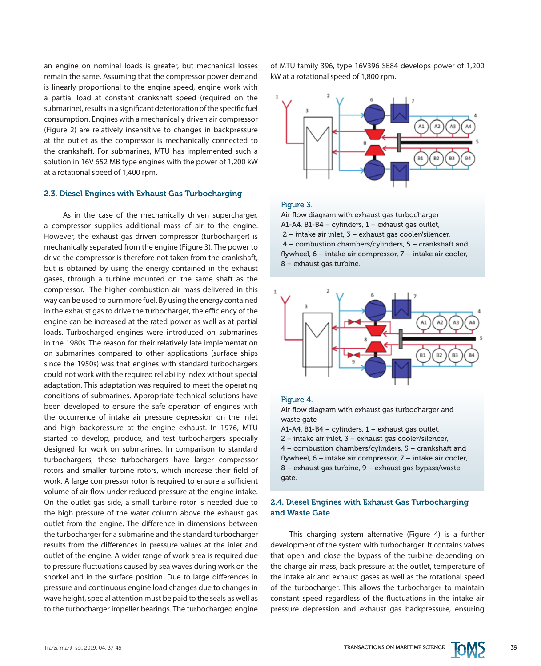an engine on nominal loads is greater, but mechanical losses remain the same. Assuming that the compressor power demand is linearly proportional to the engine speed, engine work with a partial load at constant crankshaft speed (required on the submarine), results in a significant deterioration of the specific fuel consumption. Engines with a mechanically driven air compressor (Figure 2) are relatively insensitive to changes in backpressure at the outlet as the compressor is mechanically connected to the crankshaft. For submarines, MTU has implemented such a solution in 16V 652 MB type engines with the power of 1,200 kW at a rotational speed of 1,400 rpm.

# 2.3. Diesel Engines with Exhaust Gas Turbocharging

As in the case of the mechanically driven supercharger, a compressor supplies additional mass of air to the engine. However, the exhaust gas driven compressor (turbocharger) is mechanically separated from the engine (Figure 3). The power to drive the compressor is therefore not taken from the crankshaft, but is obtained by using the energy contained in the exhaust gases, through a turbine mounted on the same shaft as the compressor. The higher combustion air mass delivered in this way can be used to burn more fuel. By using the energy contained in the exhaust gas to drive the turbocharger, the efficiency of the engine can be increased at the rated power as well as at partial loads. Turbocharged engines were introduced on submarines in the 1980s. The reason for their relatively late implementation on submarines compared to other applications (surface ships since the 1950s) was that engines with standard turbochargers could not work with the required reliability index without special adaptation. This adaptation was required to meet the operating conditions of submarines. Appropriate technical solutions have been developed to ensure the safe operation of engines with the occurrence of intake air pressure depression on the inlet and high backpressure at the engine exhaust. In 1976, MTU started to develop, produce, and test turbochargers specially designed for work on submarines. In comparison to standard turbochargers, these turbochargers have larger compressor rotors and smaller turbine rotors, which increase their field of work. A large compressor rotor is required to ensure a sufficient volume of air flow under reduced pressure at the engine intake. On the outlet gas side, a small turbine rotor is needed due to the high pressure of the water column above the exhaust gas outlet from the engine. The difference in dimensions between the turbocharger for a submarine and the standard turbocharger results from the differences in pressure values at the inlet and outlet of the engine. A wider range of work area is required due to pressure fluctuations caused by sea waves during work on the snorkel and in the surface position. Due to large differences in pressure and continuous engine load changes due to changes in wave height, special attention must be paid to the seals as well as to the turbocharger impeller bearings. The turbocharged engine

of MTU family 396, type 16V396 SE84 develops power of 1,200 kW at a rotational speed of 1,800 rpm.



## Figure 3.

Air flow diagram with exhaust gas turbocharger A1-A4, B1-B4 – cylinders, 1 – exhaust gas outlet, 2 – intake air inlet, 3 – exhaust gas cooler/silencer, 4 – combustion chambers/cylinders, 5 – crankshaft and flywheel, 6 – intake air compressor, 7 – intake air cooler, 8 – exhaust gas turbine.



#### Figure 4.

Air flow diagram with exhaust gas turbocharger and waste gate

A1-A4, B1-B4 – cylinders, 1 – exhaust gas outlet,

2 – intake air inlet, 3 – exhaust gas cooler/silencer,

4 – combustion chambers/cylinders, 5 – crankshaft and flywheel, 6 – intake air compressor, 7 – intake air cooler, 8 – exhaust gas turbine, 9 – exhaust gas bypass/waste gate.

# 2.4. Diesel Engines with Exhaust Gas Turbocharging and Waste Gate

This charging system alternative (Figure 4) is a further development of the system with turbocharger. It contains valves that open and close the bypass of the turbine depending on the charge air mass, back pressure at the outlet, temperature of the intake air and exhaust gases as well as the rotational speed of the turbocharger. This allows the turbocharger to maintain constant speed regardless of the fluctuations in the intake air pressure depression and exhaust gas backpressure, ensuring

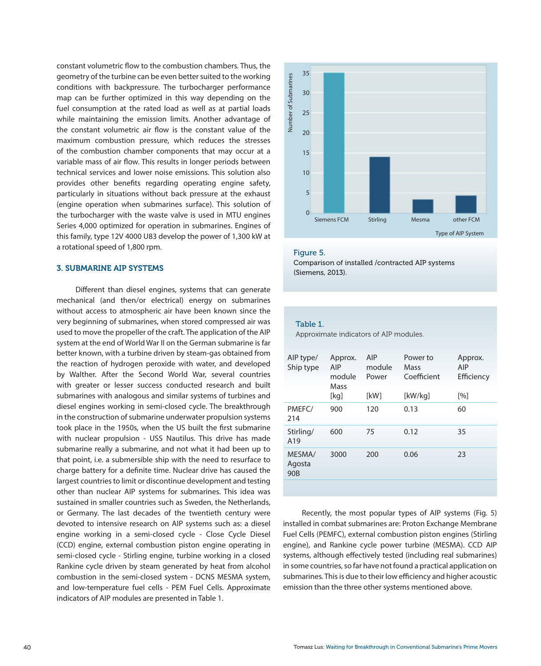constant volumetric flow to the combustion chambers. Thus, the geometry of the turbine can be even better suited to the working conditions with backpressure. The turbocharger performance map can be further optimized in this way depending on the fuel consumption at the rated load as well as at partial loads while maintaining the emission limits. Another advantage of the constant volumetric air flow is the constant value of the maximum combustion pressure, which reduces the stresses of the combustion chamber components that may occur at a variable mass of air flow. This results in longer periods between technical services and lower noise emissions. This solution also provides other benefits regarding operating engine safety, particularly in situations without back pressure at the exhaust (engine operation when submarines surface). This solution of the turbocharger with the waste valve is used in MTU engines Series 4,000 optimized for operation in submarines. Engines of this family, type 12V 4000 U83 develop the power of 1,300 kW at a rotational speed of 1,800 rpm.

#### 3. SUBMARINE AIP SYSTEMS

Different than diesel engines, systems that can generate mechanical (and then/or electrical) energy on submarines without access to atmospheric air have been known since the very beginning of submarines, when stored compressed air was used to move the propeller of the craft. The application of the AIP system at the end of World War II on the German submarine is far better known, with a turbine driven by steam-gas obtained from the reaction of hydrogen peroxide with water, and developed by Walther. After the Second World War, several countries with greater or lesser success conducted research and built submarines with analogous and similar systems of turbines and diesel engines working in semi-closed cycle. The breakthrough in the construction of submarine underwater propulsion systems took place in the 1950s, when the US built the first submarine with nuclear propulsion - USS Nautilus. This drive has made submarine really a submarine, and not what it had been up to that point, i.e. a submersible ship with the need to resurface to charge battery for a definite time. Nuclear drive has caused the largest countries to limit or discontinue development and testing other than nuclear AIP systems for submarines. This idea was sustained in smaller countries such as Sweden, the Netherlands, or Germany. The last decades of the twentieth century were devoted to intensive research on AIP systems such as: a diesel engine working in a semi-closed cycle - Close Cycle Diesel (CCD) engine, external combustion piston engine operating in semi-closed cycle - Stirling engine, turbine working in a closed Rankine cycle driven by steam generated by heat from alcohol combustion in the semi-closed system - DCNS MESMA system, and low-temperature fuel cells - PEM Fuel Cells. Approximate indicators of AIP modules are presented in Table 1.



# Figure 5.

Comparison of installed /contracted AIP systems (Siemens, 2013).

#### Table 1.

Approximate indicators of AIP modules.

| AIP type/<br>Ship type              | Approx.<br>AIP<br>module<br>Mass | AIP<br>module<br>Power | Power to<br>Mass<br>Coefficient | Approx.<br>AIP<br>Efficiency |
|-------------------------------------|----------------------------------|------------------------|---------------------------------|------------------------------|
|                                     | [kq]                             | [kW]                   | [kW/kg]                         | [%]                          |
| PMEFC/<br>214                       | 900                              | 120                    | 0.13                            | 60                           |
| Stirling/<br>A19                    | 600                              | 75                     | 0.12                            | 35                           |
| MESMA/<br>Agosta<br>90 <sub>B</sub> | 3000                             | 200                    | 0.06                            | 23                           |
|                                     |                                  |                        |                                 |                              |

Recently, the most popular types of AIP systems (Fig. 5) installed in combat submarines are: Proton Exchange Membrane Fuel Cells (PEMFC), external combustion piston engines (Stirling engine), and Rankine cycle power turbine (MESMA). CCD AIP systems, although effectively tested (including real submarines) in some countries, so far have not found a practical application on submarines. This is due to their low efficiency and higher acoustic emission than the three other systems mentioned above.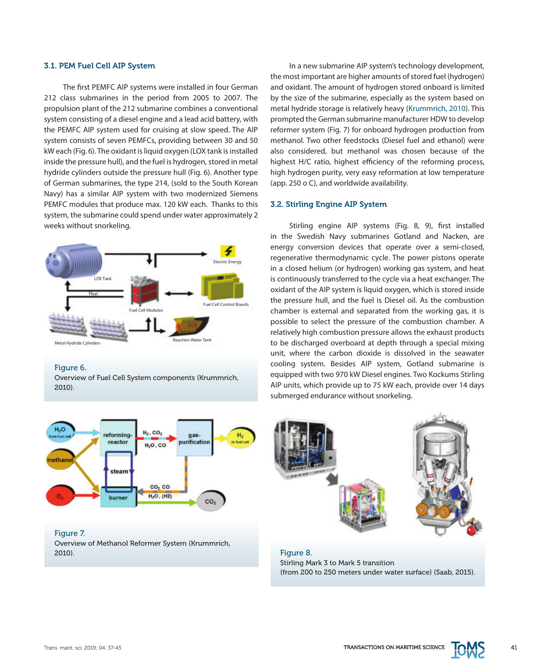#### 3.1. PEM Fuel Cell AIP System

The first PEMFC AIP systems were installed in four German 212 class submarines in the period from 2005 to 2007. The propulsion plant of the 212 submarine combines a conventional system consisting of a diesel engine and a lead acid battery, with the PEMFC AIP system used for cruising at slow speed. The AIP system consists of seven PEMFCs, providing between 30 and 50 kW each (Fig. 6). The oxidant is liquid oxygen (LOX tank is installed inside the pressure hull), and the fuel is hydrogen, stored in metal hydride cylinders outside the pressure hull (Fig. 6). Another type of German submarines, the type 214, (sold to the South Korean Navy) has a similar AIP system with two modernized Siemens PEMFC modules that produce max. 120 kW each. Thanks to this system, the submarine could spend under water approximately 2 weeks without snorkeling.



#### Figure 6.

Overview of Fuel Cell System components (Krummrich, 2010).



#### Figure 7.

Overview of Methanol Reformer System (Krummrich, 2010). Eventual contra la contra de la contra de la contra de la contra de la contra de la contra de la contra<br>Estado de la contra de la contra de la contra de la contra de la contra de la contra de la contra de la contra

In a new submarine AIP system's technology development, the most important are higher amounts of stored fuel (hydrogen) and oxidant. The amount of hydrogen stored onboard is limited by the size of the submarine, especially as the system based on metal hydride storage is relatively heavy (Krummrich, 2010). This prompted the German submarine manufacturer HDW to develop reformer system (Fig. 7) for onboard hydrogen production from methanol. Two other feedstocks (Diesel fuel and ethanol) were also considered, but methanol was chosen because of the highest H/C ratio, highest efficiency of the reforming process, high hydrogen purity, very easy reformation at low temperature (app. 250 o C), and worldwide availability.

# 3.2. Stirling Engine AIP System

Stirling engine AIP systems (Fig. 8, 9), first installed in the Swedish Navy submarines Gotland and Nacken, are energy conversion devices that operate over a semi-closed, regenerative thermodynamic cycle. The power pistons operate in a closed helium (or hydrogen) working gas system, and heat is continuously transferred to the cycle via a heat exchanger. The oxidant of the AIP system is liquid oxygen, which is stored inside the pressure hull, and the fuel is Diesel oil. As the combustion chamber is external and separated from the working gas, it is possible to select the pressure of the combustion chamber. A relatively high combustion pressure allows the exhaust products to be discharged overboard at depth through a special mixing unit, where the carbon dioxide is dissolved in the seawater cooling system. Besides AIP system, Gotland submarine is equipped with two 970 kW Diesel engines. Two Kockums Stirling AIP units, which provide up to 75 kW each, provide over 14 days submerged endurance without snorkeling.



Stirling Mark 3 to Mark 5 transition (from 200 to 250 meters under water surface) (Saab, 2015).

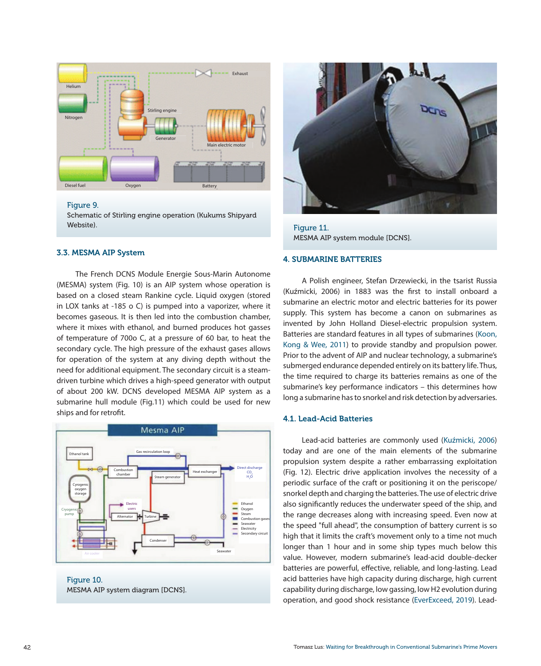

#### Figure 9.

Schematic of Stirling engine operation (Kukums Shipyard Website).

# 3.3. MESMA AIP System

The French DCNS Module Energie Sous-Marin Autonome (MESMA) system (Fig. 10) is an AIP system whose operation is based on a closed steam Rankine cycle. Liquid oxygen (stored in LOX tanks at -185 o C) is pumped into a vaporizer, where it becomes gaseous. It is then led into the combustion chamber, where it mixes with ethanol, and burned produces hot gasses of temperature of 700o C, at a pressure of 60 bar, to heat the secondary cycle. The high pressure of the exhaust gases allows for operation of the system at any diving depth without the need for additional equipment. The secondary circuit is a steamdriven turbine which drives a high-speed generator with output of about 200 kW. DCNS developed MESMA AIP system as a submarine hull module (Fig.11) which could be used for new ships and for retrofit.



Figure 10. MESMA AIP system diagram [DCNS].



Figure 11. MESMA AIP system module [DCNS].

# 4. SUBMARINE BATTERIES

A Polish engineer, Stefan Drzewiecki, in the tsarist Russia (Kuźmicki, 2006) in 1883 was the first to install onboard a submarine an electric motor and electric batteries for its power supply. This system has become a canon on submarines as invented by John Holland Diesel-electric propulsion system. Batteries are standard features in all types of submarines (Koon, Kong & Wee, 2011) to provide standby and propulsion power. Prior to the advent of AIP and nuclear technology, a submarine's submerged endurance depended entirely on its battery life. Thus, the time required to charge its batteries remains as one of the submarine's key performance indicators – this determines how long a submarine has to snorkel and risk detection by adversaries.

# 4.1. Lead-Acid Batteries

Lead-acid batteries are commonly used (Kuźmicki, 2006) today and are one of the main elements of the submarine propulsion system despite a rather embarrassing exploitation (Fig. 12). Electric drive application involves the necessity of a periodic surface of the craft or positioning it on the periscope/ snorkel depth and charging the batteries. The use of electric drive also significantly reduces the underwater speed of the ship, and the range decreases along with increasing speed. Even now at the speed "full ahead", the consumption of battery current is so high that it limits the craft's movement only to a time not much longer than 1 hour and in some ship types much below this value. However, modern submarine's lead-acid double-decker batteries are powerful, effective, reliable, and long-lasting. Lead acid batteries have high capacity during discharge, high current capability during discharge, low gassing, low H2 evolution during operation, and good shock resistance (EverExceed, 2019). Lead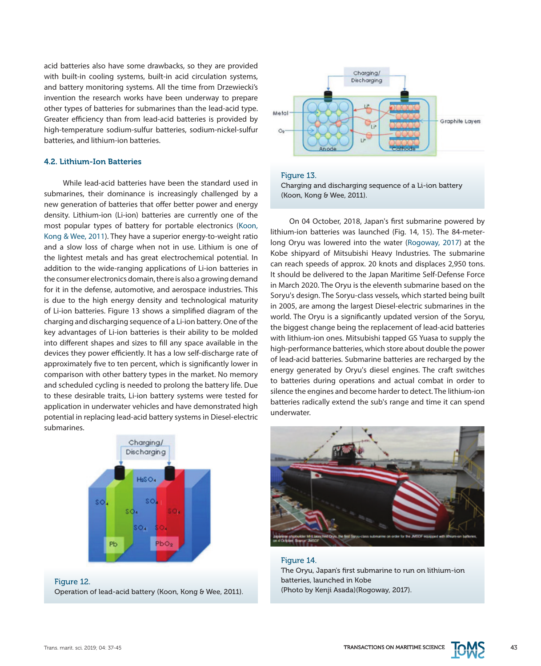acid batteries also have some drawbacks, so they are provided with built-in cooling systems, built-in acid circulation systems, and battery monitoring systems. All the time from Drzewiecki's invention the research works have been underway to prepare other types of batteries for submarines than the lead-acid type. Greater efficiency than from lead-acid batteries is provided by high-temperature sodium-sulfur batteries, sodium-nickel-sulfur batteries, and lithium-ion batteries.

# 4.2. Lithium-Ion Batteries

While lead-acid batteries have been the standard used in submarines, their dominance is increasingly challenged by a new generation of batteries that offer better power and energy density. Lithium-ion (Li-ion) batteries are currently one of the most popular types of battery for portable electronics (Koon, Kong & Wee, 2011). They have a superior energy-to-weight ratio and a slow loss of charge when not in use. Lithium is one of the lightest metals and has great electrochemical potential. In addition to the wide-ranging applications of Li-ion batteries in the consumer electronics domain, there is also a growing demand for it in the defense, automotive, and aerospace industries. This is due to the high energy density and technological maturity of Li-ion batteries. Figure 13 shows a simplified diagram of the charging and discharging sequence of a Li-ion battery. One of the key advantages of Li-ion batteries is their ability to be molded into different shapes and sizes to fill any space available in the devices they power efficiently. It has a low self-discharge rate of approximately five to ten percent, which is significantly lower in comparison with other battery types in the market. No memory and scheduled cycling is needed to prolong the battery life. Due to these desirable traits, Li-ion battery systems were tested for application in underwater vehicles and have demonstrated high potential in replacing lead-acid battery systems in Diesel-electric submarines.



Figure 12. Operation of lead-acid battery (Koon, Kong & Wee, 2011).



# Figure 13.



On 04 October, 2018, Japan's first submarine powered by lithium-ion batteries was launched (Fig. 14, 15). The 84-meterlong Oryu was lowered into the water (Rogoway, 2017) at the Kobe shipyard of Mitsubishi Heavy Industries. The submarine can reach speeds of approx. 20 knots and displaces 2,950 tons. It should be delivered to the Japan Maritime Self-Defense Force in March 2020. The Oryu is the eleventh submarine based on the Soryu's design. The Soryu-class vessels, which started being built in 2005, are among the largest Diesel-electric submarines in the world. The Oryu is a significantly updated version of the Soryu, the biggest change being the replacement of lead-acid batteries with lithium-ion ones. Mitsubishi tapped GS Yuasa to supply the high-performance batteries, which store about double the power of lead-acid batteries. Submarine batteries are recharged by the energy generated by Oryu's diesel engines. The craft switches to batteries during operations and actual combat in order to silence the engines and become harder to detect. The lithium-ion batteries radically extend the sub's range and time it can spend underwater.



Figure 14. The Oryu, Japan's first submarine to run on lithium-ion batteries, launched in Kobe (Photo by Kenji Asada)(Rogoway, 2017).

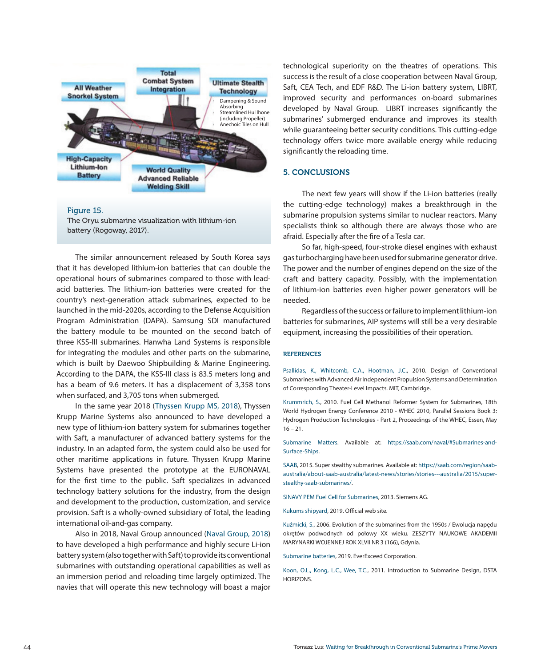

#### Figure 15.

The Oryu submarine visualization with lithium-ion battery (Rogoway, 2017).

The similar announcement released by South Korea says that it has developed lithium-ion batteries that can double the operational hours of submarines compared to those with leadacid batteries. The lithium-ion batteries were created for the country's next-generation attack submarines, expected to be launched in the mid-2020s, according to the Defense Acquisition Program Administration (DAPA). Samsung SDI manufactured the battery module to be mounted on the second batch of three KSS-III submarines. Hanwha Land Systems is responsible for integrating the modules and other parts on the submarine, which is built by Daewoo Shipbuilding & Marine Engineering. According to the DAPA, the KSS-III class is 83.5 meters long and has a beam of 9.6 meters. It has a displacement of 3,358 tons when surfaced, and 3,705 tons when submerged.

In the same year 2018 (Thyssen Krupp MS, 2018), Thyssen Krupp Marine Systems also announced to have developed a new type of lithium-ion battery system for submarines together with Saft, a manufacturer of advanced battery systems for the industry. In an adapted form, the system could also be used for other maritime applications in future. Thyssen Krupp Marine Systems have presented the prototype at the EURONAVAL for the first time to the public. Saft specializes in advanced technology battery solutions for the industry, from the design and development to the production, customization, and service provision. Saft is a wholly-owned subsidiary of Total, the leading international oil-and-gas company.

Also in 2018, Naval Group announced (Naval Group, 2018) to have developed a high performance and highly secure Li-ion battery system (also together with Saft) to provide its conventional submarines with outstanding operational capabilities as well as an immersion period and reloading time largely optimized. The navies that will operate this new technology will boast a major

technological superiority on the theatres of operations. This success is the result of a close cooperation between Naval Group, Saft, CEA Tech, and EDF R&D. The Li-ion battery system, LIBRT, improved security and performances on-board submarines developed by Naval Group. LIBRT increases significantly the submarines' submerged endurance and improves its stealth while guaranteeing better security conditions. This cutting-edge technology offers twice more available energy while reducing significantly the reloading time.

# 5. CONCLUSIONS

The next few years will show if the Li-ion batteries (really the cutting-edge technology) makes a breakthrough in the submarine propulsion systems similar to nuclear reactors. Many specialists think so although there are always those who are afraid. Especially after the fire of a Tesla car.

So far, high-speed, four-stroke diesel engines with exhaust gas turbocharging have been used for submarine generator drive. The power and the number of engines depend on the size of the craft and battery capacity. Possibly, with the implementation of lithium-ion batteries even higher power generators will be needed.

Regardless of the success or failure to implement lithium-ion batteries for submarines, AIP systems will still be a very desirable equipment, increasing the possibilities of their operation.

#### **REFERENCES**

Psallidas, K., Whitcomb, C.A., Hootman, J.C., 2010. Design of Conventional Submarines with Advanced Air Independent Propulsion Systems and Determination of Corresponding Theater-Level Impacts. MIT, Cambridge.

Krummrich, S., 2010. Fuel Cell Methanol Reformer System for Submarines, 18th World Hydrogen Energy Conference 2010 - WHEC 2010, Parallel Sessions Book 3: Hydrogen Production Technologies - Part 2, Proceedings of the WHEC, Essen, May  $16 - 21$ 

Submarine Matters. Available at: [https://saab.com/naval/#Submarines-and-](https://saab.com/naval/%23Submarines-and-Surface-Ships)[Surface-Ships.](https://saab.com/naval/%23Submarines-and-Surface-Ships)

SAAB, 2015. Super stealthy submarines. Available at: [https://saab.com/region/saab](https://saab.com/region/saab-australia/about-saab-australia/latest-news/stories/stories---australia/2015/super-stealthy-saab-submarines/)[australia/about-saab-australia/latest-news/stories/stories---australia/2015/super](https://saab.com/region/saab-australia/about-saab-australia/latest-news/stories/stories---australia/2015/super-stealthy-saab-submarines/)[stealthy-saab-submarines/](https://saab.com/region/saab-australia/about-saab-australia/latest-news/stories/stories---australia/2015/super-stealthy-saab-submarines/).

SINAVY PEM Fuel Cell for Submarines, 2013. Siemens AG.

Kukums shipyard, 2019. Official web site.

Kuźmicki, S., 2006. Evolution of the submarines from the 1950s / Ewolucja napędu okrętów podwodnych od połowy XX wieku. ZESZYTY NAUKOWE AKADEMII MARYNARKI WOJENNEJ ROK XLVII NR 3 (166), Gdynia.

Submarine batteries, 2019. EverExceed Corporation.

Koon, O.L., Kong, L.C., Wee, T.C., 2011. Introduction to Submarine Design, DSTA HORIZONS.